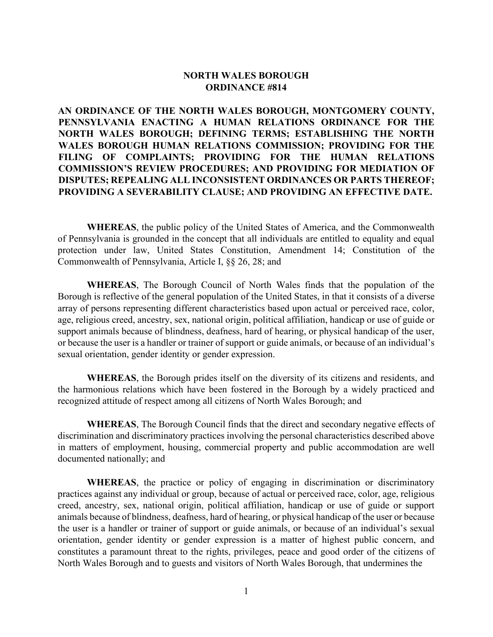#### **NORTH WALES BOROUGH ORDINANCE #814**

**AN ORDINANCE OF THE NORTH WALES BOROUGH, MONTGOMERY COUNTY, PENNSYLVANIA ENACTING A HUMAN RELATIONS ORDINANCE FOR THE NORTH WALES BOROUGH; DEFINING TERMS; ESTABLISHING THE NORTH WALES BOROUGH HUMAN RELATIONS COMMISSION; PROVIDING FOR THE FILING OF COMPLAINTS; PROVIDING FOR THE HUMAN RELATIONS COMMISSION'S REVIEW PROCEDURES; AND PROVIDING FOR MEDIATION OF DISPUTES; REPEALING ALL INCONSISTENT ORDINANCES OR PARTS THEREOF; PROVIDING A SEVERABILITY CLAUSE; AND PROVIDING AN EFFECTIVE DATE.**

**WHEREAS**, the public policy of the United States of America, and the Commonwealth of Pennsylvania is grounded in the concept that all individuals are entitled to equality and equal protection under law, United States Constitution, Amendment 14; Constitution of the Commonwealth of Pennsylvania, Article I, §§ 26, 28; and

**WHEREAS**, The Borough Council of North Wales finds that the population of the Borough is reflective of the general population of the United States, in that it consists of a diverse array of persons representing different characteristics based upon actual or perceived race, color, age, religious creed, ancestry, sex, national origin, political affiliation, handicap or use of guide or support animals because of blindness, deafness, hard of hearing, or physical handicap of the user, or because the user is a handler or trainer of support or guide animals, or because of an individual's sexual orientation, gender identity or gender expression.

**WHEREAS**, the Borough prides itself on the diversity of its citizens and residents, and the harmonious relations which have been fostered in the Borough by a widely practiced and recognized attitude of respect among all citizens of North Wales Borough; and

**WHEREAS**, The Borough Council finds that the direct and secondary negative effects of discrimination and discriminatory practices involving the personal characteristics described above in matters of employment, housing, commercial property and public accommodation are well documented nationally; and

**WHEREAS**, the practice or policy of engaging in discrimination or discriminatory practices against any individual or group, because of actual or perceived race, color, age, religious creed, ancestry, sex, national origin, political affiliation, handicap or use of guide or support animals because of blindness, deafness, hard of hearing, or physical handicap of the user or because the user is a handler or trainer of support or guide animals, or because of an individual's sexual orientation, gender identity or gender expression is a matter of highest public concern, and constitutes a paramount threat to the rights, privileges, peace and good order of the citizens of North Wales Borough and to guests and visitors of North Wales Borough, that undermines the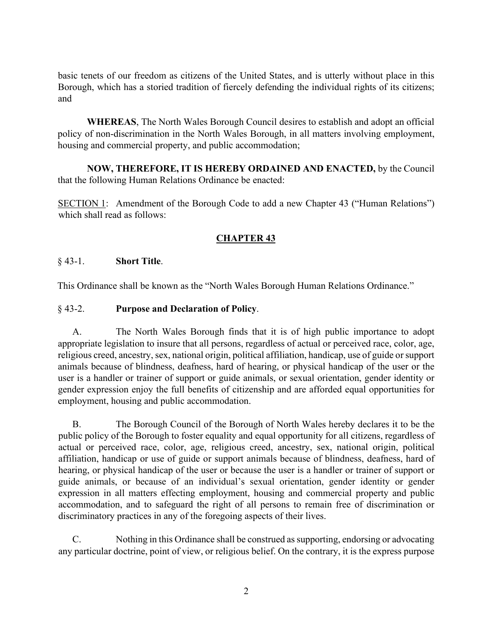basic tenets of our freedom as citizens of the United States, and is utterly without place in this Borough, which has a storied tradition of fiercely defending the individual rights of its citizens; and

**WHEREAS**, The North Wales Borough Council desires to establish and adopt an official policy of non-discrimination in the North Wales Borough, in all matters involving employment, housing and commercial property, and public accommodation;

**NOW, THEREFORE, IT IS HEREBY ORDAINED AND ENACTED,** by the Council that the following Human Relations Ordinance be enacted:

SECTION 1: Amendment of the Borough Code to add a new Chapter 43 ("Human Relations") which shall read as follows:

## **CHAPTER 43**

#### § 43-1. **Short Title**.

This Ordinance shall be known as the "North Wales Borough Human Relations Ordinance."

#### § 43-2. **Purpose and Declaration of Policy**.

A. The North Wales Borough finds that it is of high public importance to adopt appropriate legislation to insure that all persons, regardless of actual or perceived race, color, age, religious creed, ancestry, sex, national origin, political affiliation, handicap, use of guide or support animals because of blindness, deafness, hard of hearing, or physical handicap of the user or the user is a handler or trainer of support or guide animals, or sexual orientation, gender identity or gender expression enjoy the full benefits of citizenship and are afforded equal opportunities for employment, housing and public accommodation.

B. The Borough Council of the Borough of North Wales hereby declares it to be the public policy of the Borough to foster equality and equal opportunity for all citizens, regardless of actual or perceived race, color, age, religious creed, ancestry, sex, national origin, political affiliation, handicap or use of guide or support animals because of blindness, deafness, hard of hearing, or physical handicap of the user or because the user is a handler or trainer of support or guide animals, or because of an individual's sexual orientation, gender identity or gender expression in all matters effecting employment, housing and commercial property and public accommodation, and to safeguard the right of all persons to remain free of discrimination or discriminatory practices in any of the foregoing aspects of their lives.

C. Nothing in this Ordinance shall be construed as supporting, endorsing or advocating any particular doctrine, point of view, or religious belief. On the contrary, it is the express purpose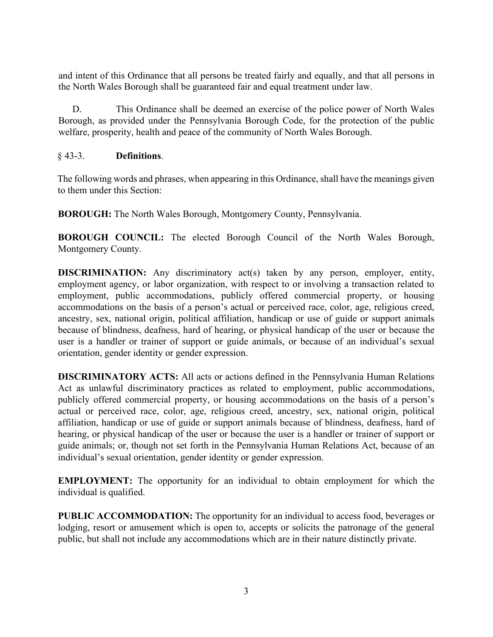and intent of this Ordinance that all persons be treated fairly and equally, and that all persons in the North Wales Borough shall be guaranteed fair and equal treatment under law.

D. This Ordinance shall be deemed an exercise of the police power of North Wales Borough, as provided under the Pennsylvania Borough Code, for the protection of the public welfare, prosperity, health and peace of the community of North Wales Borough.

### § 43-3. **Definitions**.

The following words and phrases, when appearing in this Ordinance, shall have the meanings given to them under this Section:

**BOROUGH:** The North Wales Borough, Montgomery County, Pennsylvania.

**BOROUGH COUNCIL:** The elected Borough Council of the North Wales Borough, Montgomery County.

**DISCRIMINATION:** Any discriminatory act(s) taken by any person, employer, entity, employment agency, or labor organization, with respect to or involving a transaction related to employment, public accommodations, publicly offered commercial property, or housing accommodations on the basis of a person's actual or perceived race, color, age, religious creed, ancestry, sex, national origin, political affiliation, handicap or use of guide or support animals because of blindness, deafness, hard of hearing, or physical handicap of the user or because the user is a handler or trainer of support or guide animals, or because of an individual's sexual orientation, gender identity or gender expression.

**DISCRIMINATORY ACTS:** All acts or actions defined in the Pennsylvania Human Relations Act as unlawful discriminatory practices as related to employment, public accommodations, publicly offered commercial property, or housing accommodations on the basis of a person's actual or perceived race, color, age, religious creed, ancestry, sex, national origin, political affiliation, handicap or use of guide or support animals because of blindness, deafness, hard of hearing, or physical handicap of the user or because the user is a handler or trainer of support or guide animals; or, though not set forth in the Pennsylvania Human Relations Act, because of an individual's sexual orientation, gender identity or gender expression.

**EMPLOYMENT:** The opportunity for an individual to obtain employment for which the individual is qualified.

**PUBLIC ACCOMMODATION:** The opportunity for an individual to access food, beverages or lodging, resort or amusement which is open to, accepts or solicits the patronage of the general public, but shall not include any accommodations which are in their nature distinctly private.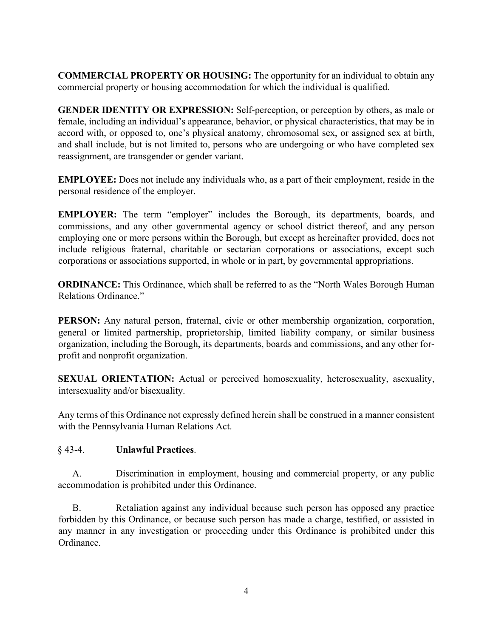**COMMERCIAL PROPERTY OR HOUSING:** The opportunity for an individual to obtain any commercial property or housing accommodation for which the individual is qualified.

**GENDER IDENTITY OR EXPRESSION:** Self-perception, or perception by others, as male or female, including an individual's appearance, behavior, or physical characteristics, that may be in accord with, or opposed to, one's physical anatomy, chromosomal sex, or assigned sex at birth, and shall include, but is not limited to, persons who are undergoing or who have completed sex reassignment, are transgender or gender variant.

**EMPLOYEE:** Does not include any individuals who, as a part of their employment, reside in the personal residence of the employer.

**EMPLOYER:** The term "employer" includes the Borough, its departments, boards, and commissions, and any other governmental agency or school district thereof, and any person employing one or more persons within the Borough, but except as hereinafter provided, does not include religious fraternal, charitable or sectarian corporations or associations, except such corporations or associations supported, in whole or in part, by governmental appropriations.

**ORDINANCE:** This Ordinance, which shall be referred to as the "North Wales Borough Human Relations Ordinance"

**PERSON:** Any natural person, fraternal, civic or other membership organization, corporation, general or limited partnership, proprietorship, limited liability company, or similar business organization, including the Borough, its departments, boards and commissions, and any other forprofit and nonprofit organization.

**SEXUAL ORIENTATION:** Actual or perceived homosexuality, heterosexuality, asexuality, intersexuality and/or bisexuality.

Any terms of this Ordinance not expressly defined herein shall be construed in a manner consistent with the Pennsylvania Human Relations Act.

### § 43-4. **Unlawful Practices**.

A. Discrimination in employment, housing and commercial property, or any public accommodation is prohibited under this Ordinance.

B. Retaliation against any individual because such person has opposed any practice forbidden by this Ordinance, or because such person has made a charge, testified, or assisted in any manner in any investigation or proceeding under this Ordinance is prohibited under this Ordinance.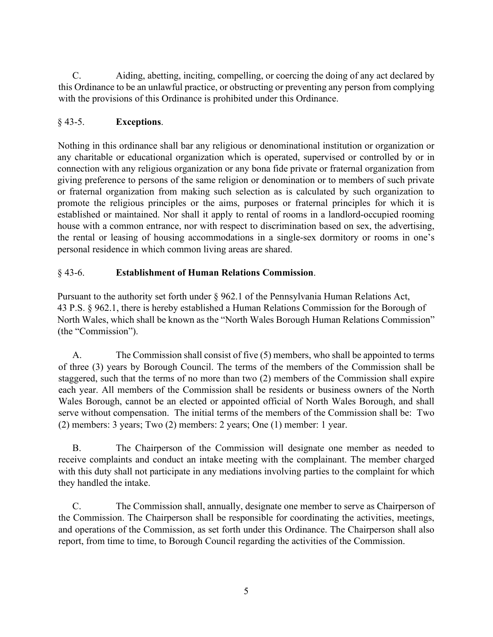C. Aiding, abetting, inciting, compelling, or coercing the doing of any act declared by this Ordinance to be an unlawful practice, or obstructing or preventing any person from complying with the provisions of this Ordinance is prohibited under this Ordinance.

# § 43-5. **Exceptions**.

Nothing in this ordinance shall bar any religious or denominational institution or organization or any charitable or educational organization which is operated, supervised or controlled by or in connection with any religious organization or any bona fide private or fraternal organization from giving preference to persons of the same religion or denomination or to members of such private or fraternal organization from making such selection as is calculated by such organization to promote the religious principles or the aims, purposes or fraternal principles for which it is established or maintained. Nor shall it apply to rental of rooms in a landlord-occupied rooming house with a common entrance, nor with respect to discrimination based on sex, the advertising, the rental or leasing of housing accommodations in a single-sex dormitory or rooms in one's personal residence in which common living areas are shared.

# § 43-6. **Establishment of Human Relations Commission**.

Pursuant to the authority set forth under § 962.1 of the Pennsylvania Human Relations Act, 43 P.S. § 962.1, there is hereby established a Human Relations Commission for the Borough of North Wales, which shall be known as the "North Wales Borough Human Relations Commission" (the "Commission").

A. The Commission shall consist of five (5) members, who shall be appointed to terms of three (3) years by Borough Council. The terms of the members of the Commission shall be staggered, such that the terms of no more than two (2) members of the Commission shall expire each year. All members of the Commission shall be residents or business owners of the North Wales Borough, cannot be an elected or appointed official of North Wales Borough, and shall serve without compensation. The initial terms of the members of the Commission shall be: Two (2) members: 3 years; Two (2) members: 2 years; One (1) member: 1 year.

B. The Chairperson of the Commission will designate one member as needed to receive complaints and conduct an intake meeting with the complainant. The member charged with this duty shall not participate in any mediations involving parties to the complaint for which they handled the intake.

C. The Commission shall, annually, designate one member to serve as Chairperson of the Commission. The Chairperson shall be responsible for coordinating the activities, meetings, and operations of the Commission, as set forth under this Ordinance. The Chairperson shall also report, from time to time, to Borough Council regarding the activities of the Commission.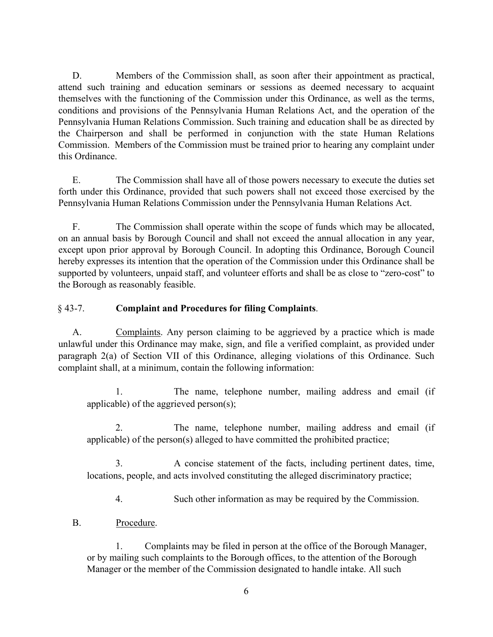D. Members of the Commission shall, as soon after their appointment as practical, attend such training and education seminars or sessions as deemed necessary to acquaint themselves with the functioning of the Commission under this Ordinance, as well as the terms, conditions and provisions of the Pennsylvania Human Relations Act, and the operation of the Pennsylvania Human Relations Commission. Such training and education shall be as directed by the Chairperson and shall be performed in conjunction with the state Human Relations Commission. Members of the Commission must be trained prior to hearing any complaint under this Ordinance.

E. The Commission shall have all of those powers necessary to execute the duties set forth under this Ordinance, provided that such powers shall not exceed those exercised by the Pennsylvania Human Relations Commission under the Pennsylvania Human Relations Act.

F. The Commission shall operate within the scope of funds which may be allocated, on an annual basis by Borough Council and shall not exceed the annual allocation in any year, except upon prior approval by Borough Council. In adopting this Ordinance, Borough Council hereby expresses its intention that the operation of the Commission under this Ordinance shall be supported by volunteers, unpaid staff, and volunteer efforts and shall be as close to "zero-cost" to the Borough as reasonably feasible.

## § 43-7. **Complaint and Procedures for filing Complaints**.

A. Complaints. Any person claiming to be aggrieved by a practice which is made unlawful under this Ordinance may make, sign, and file a verified complaint, as provided under paragraph 2(a) of Section VII of this Ordinance, alleging violations of this Ordinance. Such complaint shall, at a minimum, contain the following information:

1. The name, telephone number, mailing address and email (if applicable) of the aggrieved person(s);

2. The name, telephone number, mailing address and email (if applicable) of the person(s) alleged to have committed the prohibited practice;

3. A concise statement of the facts, including pertinent dates, time, locations, people, and acts involved constituting the alleged discriminatory practice;

4. Such other information as may be required by the Commission.

B. Procedure.

1. Complaints may be filed in person at the office of the Borough Manager, or by mailing such complaints to the Borough offices, to the attention of the Borough Manager or the member of the Commission designated to handle intake. All such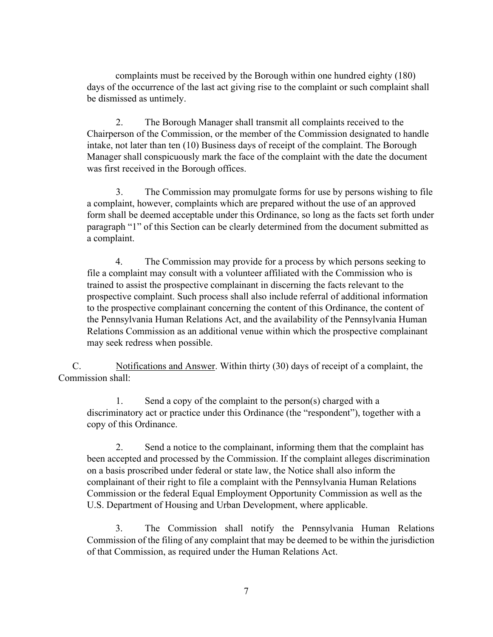complaints must be received by the Borough within one hundred eighty (180) days of the occurrence of the last act giving rise to the complaint or such complaint shall be dismissed as untimely.

2. The Borough Manager shall transmit all complaints received to the Chairperson of the Commission, or the member of the Commission designated to handle intake, not later than ten (10) Business days of receipt of the complaint. The Borough Manager shall conspicuously mark the face of the complaint with the date the document was first received in the Borough offices.

3. The Commission may promulgate forms for use by persons wishing to file a complaint, however, complaints which are prepared without the use of an approved form shall be deemed acceptable under this Ordinance, so long as the facts set forth under paragraph "1" of this Section can be clearly determined from the document submitted as a complaint.

4. The Commission may provide for a process by which persons seeking to file a complaint may consult with a volunteer affiliated with the Commission who is trained to assist the prospective complainant in discerning the facts relevant to the prospective complaint. Such process shall also include referral of additional information to the prospective complainant concerning the content of this Ordinance, the content of the Pennsylvania Human Relations Act, and the availability of the Pennsylvania Human Relations Commission as an additional venue within which the prospective complainant may seek redress when possible.

C. Notifications and Answer. Within thirty (30) days of receipt of a complaint, the Commission shall:

1. Send a copy of the complaint to the person(s) charged with a discriminatory act or practice under this Ordinance (the "respondent"), together with a copy of this Ordinance.

2. Send a notice to the complainant, informing them that the complaint has been accepted and processed by the Commission. If the complaint alleges discrimination on a basis proscribed under federal or state law, the Notice shall also inform the complainant of their right to file a complaint with the Pennsylvania Human Relations Commission or the federal Equal Employment Opportunity Commission as well as the U.S. Department of Housing and Urban Development, where applicable.

3. The Commission shall notify the Pennsylvania Human Relations Commission of the filing of any complaint that may be deemed to be within the jurisdiction of that Commission, as required under the Human Relations Act.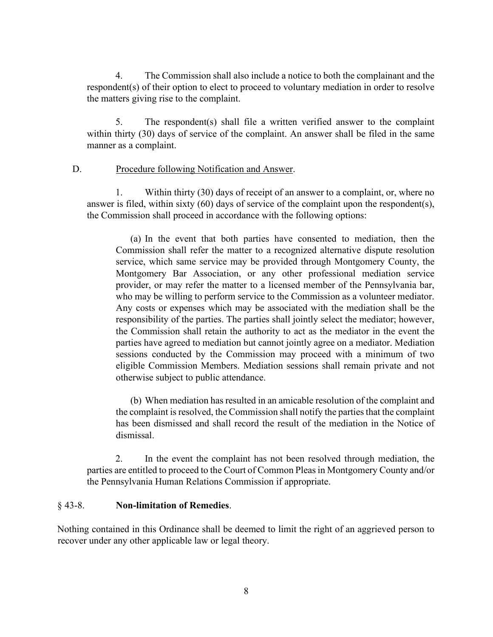4. The Commission shall also include a notice to both the complainant and the respondent(s) of their option to elect to proceed to voluntary mediation in order to resolve the matters giving rise to the complaint.

5. The respondent(s) shall file a written verified answer to the complaint within thirty (30) days of service of the complaint. An answer shall be filed in the same manner as a complaint.

#### D. Procedure following Notification and Answer.

1. Within thirty (30) days of receipt of an answer to a complaint, or, where no answer is filed, within sixty (60) days of service of the complaint upon the respondent(s), the Commission shall proceed in accordance with the following options:

(a) In the event that both parties have consented to mediation, then the Commission shall refer the matter to a recognized alternative dispute resolution service, which same service may be provided through Montgomery County, the Montgomery Bar Association, or any other professional mediation service provider, or may refer the matter to a licensed member of the Pennsylvania bar, who may be willing to perform service to the Commission as a volunteer mediator. Any costs or expenses which may be associated with the mediation shall be the responsibility of the parties. The parties shall jointly select the mediator; however, the Commission shall retain the authority to act as the mediator in the event the parties have agreed to mediation but cannot jointly agree on a mediator. Mediation sessions conducted by the Commission may proceed with a minimum of two eligible Commission Members. Mediation sessions shall remain private and not otherwise subject to public attendance.

(b) When mediation has resulted in an amicable resolution of the complaint and the complaint is resolved, the Commission shall notify the parties that the complaint has been dismissed and shall record the result of the mediation in the Notice of dismissal.

2. In the event the complaint has not been resolved through mediation, the parties are entitled to proceed to the Court of Common Pleas in Montgomery County and/or the Pennsylvania Human Relations Commission if appropriate.

#### § 43-8. **Non-limitation of Remedies**.

Nothing contained in this Ordinance shall be deemed to limit the right of an aggrieved person to recover under any other applicable law or legal theory.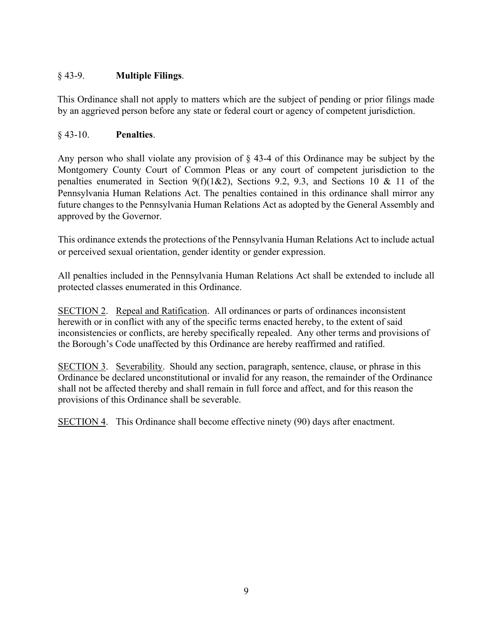# § 43-9. **Multiple Filings**.

This Ordinance shall not apply to matters which are the subject of pending or prior filings made by an aggrieved person before any state or federal court or agency of competent jurisdiction.

## § 43-10. **Penalties**.

Any person who shall violate any provision of § 43-4 of this Ordinance may be subject by the Montgomery County Court of Common Pleas or any court of competent jurisdiction to the penalties enumerated in Section 9(f)(1&2), Sections 9.2, 9.3, and Sections 10 & 11 of the Pennsylvania Human Relations Act. The penalties contained in this ordinance shall mirror any future changes to the Pennsylvania Human Relations Act as adopted by the General Assembly and approved by the Governor.

This ordinance extends the protections of the Pennsylvania Human Relations Act to include actual or perceived sexual orientation, gender identity or gender expression.

All penalties included in the Pennsylvania Human Relations Act shall be extended to include all protected classes enumerated in this Ordinance.

SECTION 2. Repeal and Ratification. All ordinances or parts of ordinances inconsistent herewith or in conflict with any of the specific terms enacted hereby, to the extent of said inconsistencies or conflicts, are hereby specifically repealed. Any other terms and provisions of the Borough's Code unaffected by this Ordinance are hereby reaffirmed and ratified.

SECTION 3. Severability. Should any section, paragraph, sentence, clause, or phrase in this Ordinance be declared unconstitutional or invalid for any reason, the remainder of the Ordinance shall not be affected thereby and shall remain in full force and affect, and for this reason the provisions of this Ordinance shall be severable.

SECTION 4. This Ordinance shall become effective ninety (90) days after enactment.